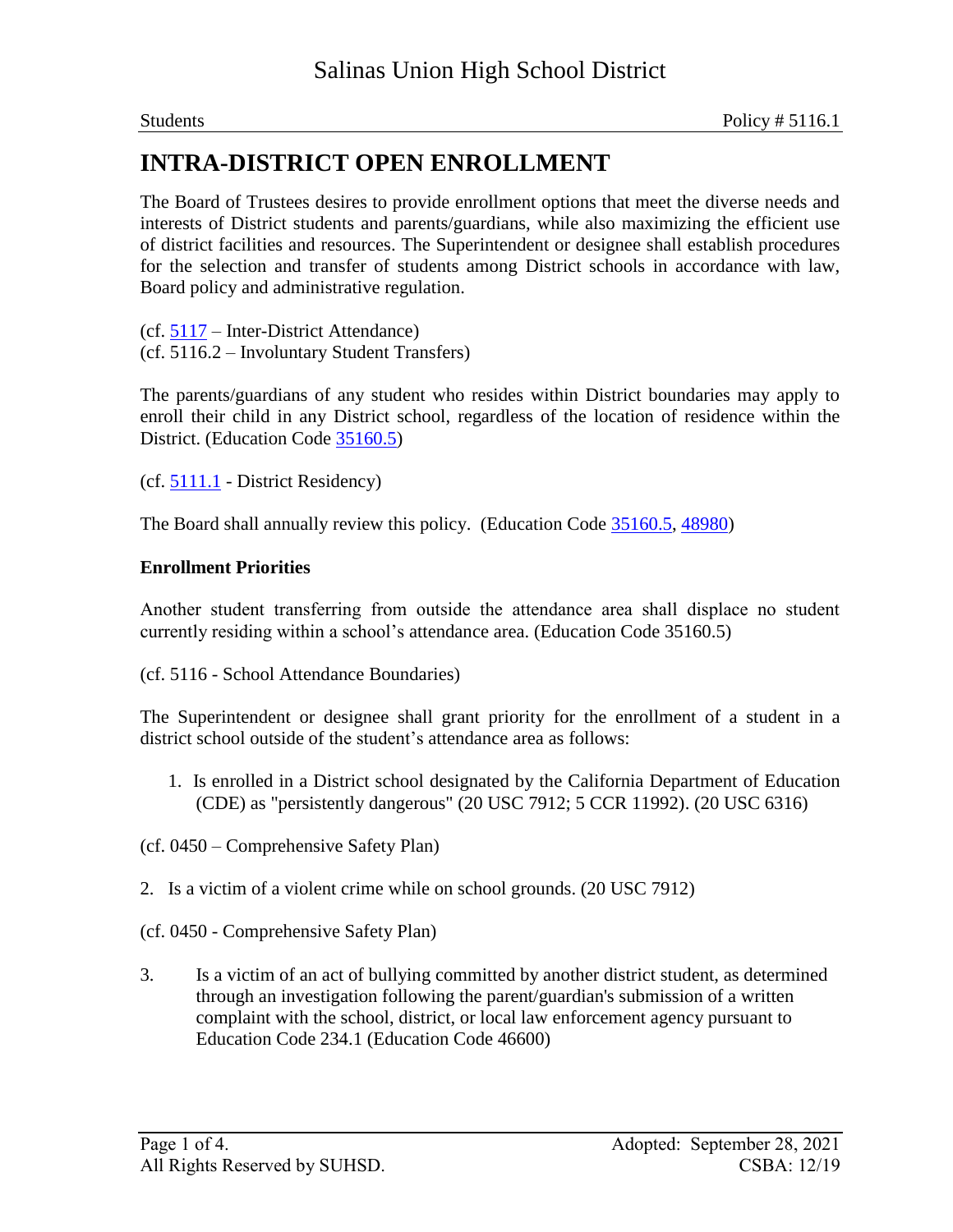The Board of Trustees desires to provide enrollment options that meet the diverse needs and interests of District students and parents/guardians, while also maximizing the efficient use of district facilities and resources. The Superintendent or designee shall establish procedures for the selection and transfer of students among District schools in accordance with law, Board policy and administrative regulation.

(cf. 5117 – Inter-District Attendance) (cf. 5116.2 – Involuntary Student Transfers)

The parents/guardians of any student who resides within District boundaries may apply to enroll their child in any District school, regardless of the location of residence within the District. (Education Code 35160.5)

 $(cf. 5111.1 - District Residency)$ 

The Board shall annually review this policy. (Education Code 35160.5, 48980)

### **Enrollment Priorities**

Another student transferring from outside the attendance area shall displace no student currently residing within a school's attendance area. (Education Code 35160.5)

(cf. 5116 - School Attendance Boundaries)

The Superintendent or designee shall grant priority for the enrollment of a student in a district school outside of the student's attendance area as follows:

1. Is enrolled in a District school designated by the California Department of Education (CDE) as "persistently dangerous" (20 USC 7912; 5 CCR 11992). (20 USC 6316)

(cf. 0450 – Comprehensive Safety Plan)

- 2. Is a victim of a violent crime while on school grounds. (20 USC 7912)
- (cf. 0450 Comprehensive Safety Plan)
- 3. Is a victim of an act of bullying committed by another district student, as determined through an investigation following the parent/guardian's submission of a written complaint with the school, district, or local law enforcement agency pursuant to Education Code 234.1 (Education Code 46600)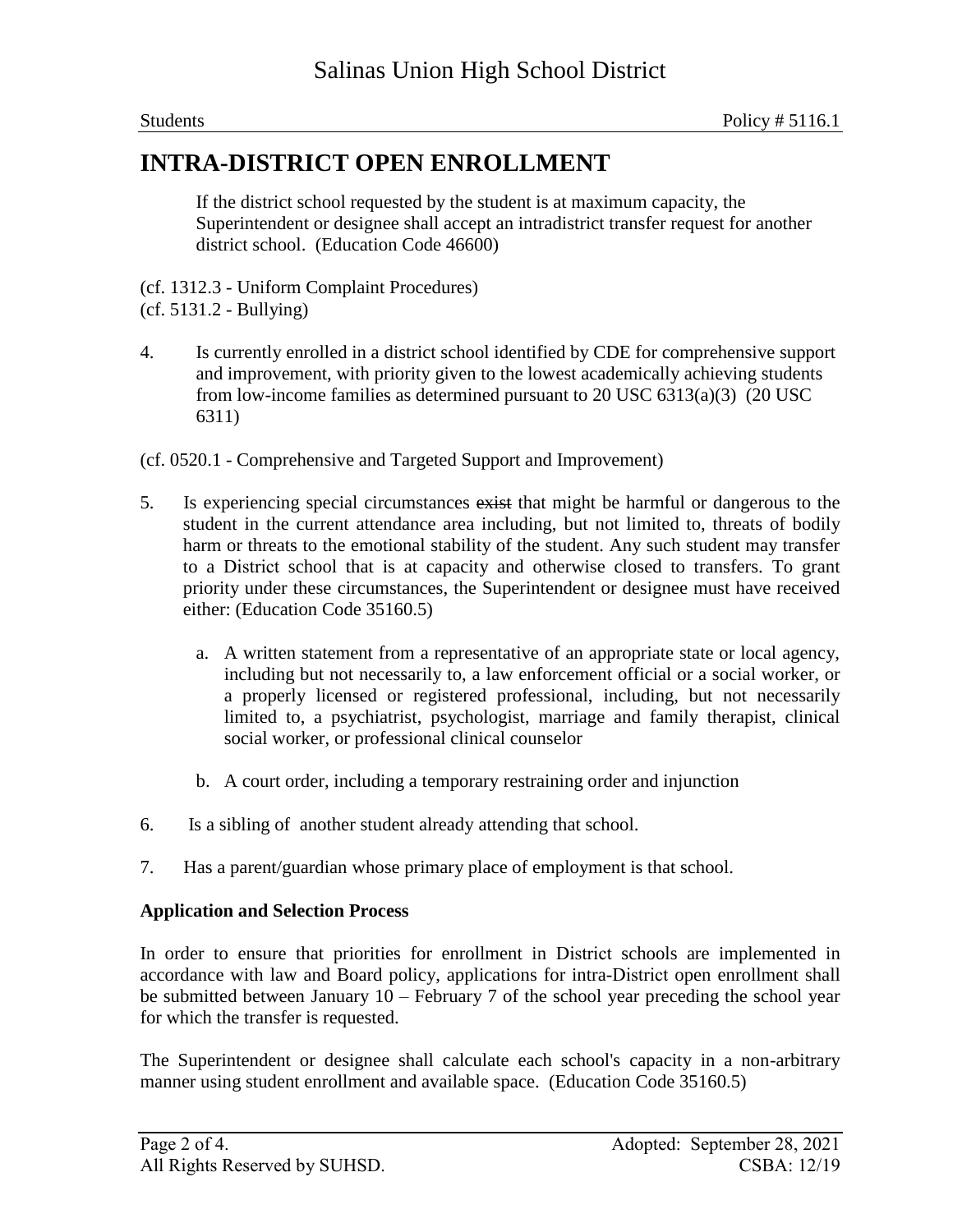If the district school requested by the student is at maximum capacity, the Superintendent or designee shall accept an intradistrict transfer request for another district school. (Education Code 46600)

(cf. 1312.3 - Uniform Complaint Procedures)

4. Is currently enrolled in a district school identified by CDE for comprehensive support and improvement, with priority given to the lowest academically achieving students from low-income families as determined pursuant to 20 USC 6313(a)(3) (20 USC 6311)

(cf. 0520.1 - Comprehensive and Targeted Support and Improvement)

- 5. Is experiencing special circumstances exist that might be harmful or dangerous to the student in the current attendance area including, but not limited to, threats of bodily harm or threats to the emotional stability of the student. Any such student may transfer to a District school that is at capacity and otherwise closed to transfers. To grant priority under these circumstances, the Superintendent or designee must have received either: (Education Code 35160.5)
	- a. A written statement from a representative of an appropriate state or local agency, including but not necessarily to, a law enforcement official or a social worker, or a properly licensed or registered professional, including, but not necessarily limited to, a psychiatrist, psychologist, marriage and family therapist, clinical social worker, or professional clinical counselor
	- b. A court order, including a temporary restraining order and injunction
- 6. Is a sibling of another student already attending that school.
- 7. Has a parent/guardian whose primary place of employment is that school.

### **Application and Selection Process**

In order to ensure that priorities for enrollment in District schools are implemented in accordance with law and Board policy, applications for intra-District open enrollment shall be submitted between January 10 – February 7 of the school year preceding the school year for which the transfer is requested.

The Superintendent or designee shall calculate each school's capacity in a non-arbitrary manner using student enrollment and available space. (Education Code 35160.5)

<sup>(</sup>cf. 5131.2 - Bullying)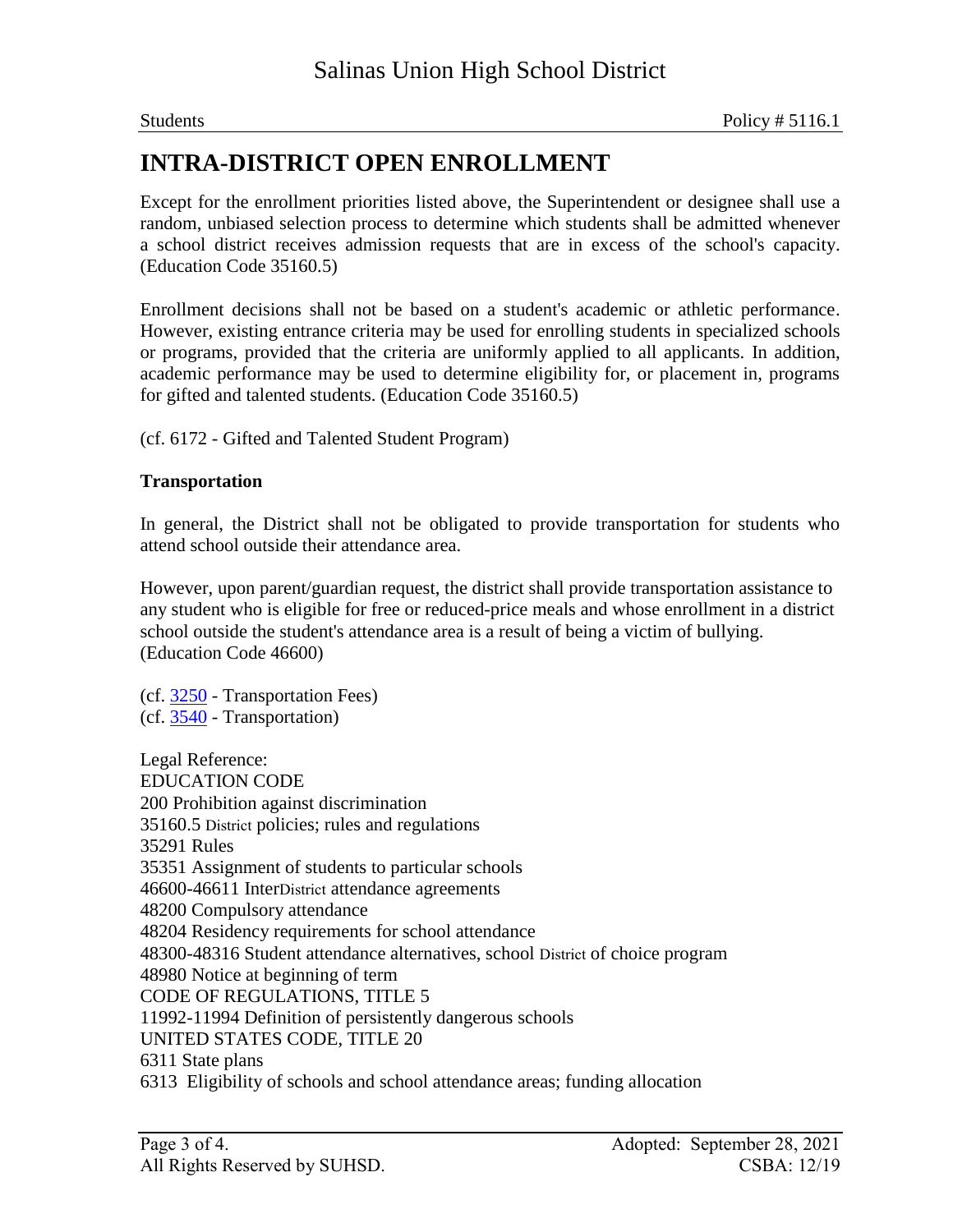Except for the enrollment priorities listed above, the Superintendent or designee shall use a random, unbiased selection process to determine which students shall be admitted whenever a school district receives admission requests that are in excess of the school's capacity. (Education Code 35160.5)

Enrollment decisions shall not be based on a student's academic or athletic performance. However, existing entrance criteria may be used for enrolling students in specialized schools or programs, provided that the criteria are uniformly applied to all applicants. In addition, academic performance may be used to determine eligibility for, or placement in, programs for gifted and talented students. (Education Code 35160.5)

(cf. 6172 - Gifted and Talented Student Program)

### **Transportation**

In general, the District shall not be obligated to provide transportation for students who attend school outside their attendance area.

However, upon parent/guardian request, the district shall provide transportation assistance to any student who is eligible for free or reduced-price meals and whose enrollment in a district school outside the student's attendance area is a result of being a victim of bullying. (Education Code 46600)

(cf. 3250 - Transportation Fees) (cf. 3540 - Transportation)

Legal Reference: EDUCATION CODE 200 Prohibition against discrimination 35160.5 District policies; rules and regulations 35291 Rules 35351 Assignment of students to particular schools 46600-46611 InterDistrict attendance agreements 48200 Compulsory attendance 48204 Residency requirements for school attendance 48300-48316 Student attendance alternatives, school District of choice program 48980 Notice at beginning of term CODE OF REGULATIONS, TITLE 5 11992-11994 Definition of persistently dangerous schools UNITED STATES CODE, TITLE 20 6311 State plans 6313 Eligibility of schools and school attendance areas; funding allocation